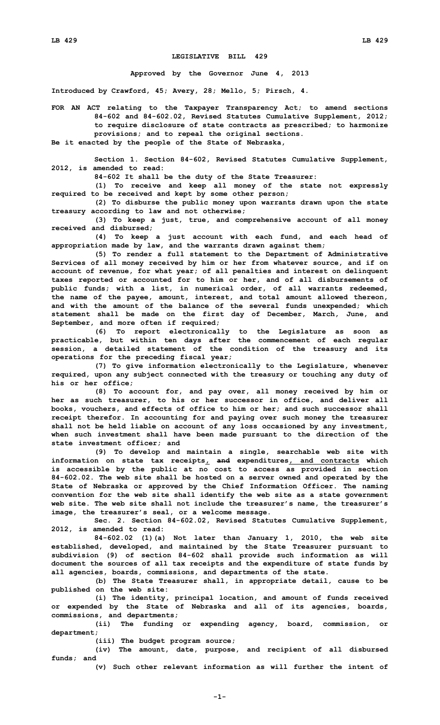## **LEGISLATIVE BILL 429**

**Approved by the Governor June 4, 2013**

**Introduced by Crawford, 45; Avery, 28; Mello, 5; Pirsch, 4.**

**FOR AN ACT relating to the Taxpayer Transparency Act; to amend sections 84-602 and 84-602.02, Revised Statutes Cumulative Supplement, 2012; to require disclosure of state contracts as prescribed; to harmonize provisions; and to repeal the original sections.**

**Be it enacted by the people of the State of Nebraska,**

**Section 1. Section 84-602, Revised Statutes Cumulative Supplement, 2012, is amended to read:**

**84-602 It shall be the duty of the State Treasurer:**

**(1) To receive and keep all money of the state not expressly required to be received and kept by some other person;**

**(2) To disburse the public money upon warrants drawn upon the state treasury according to law and not otherwise;**

**(3) To keep <sup>a</sup> just, true, and comprehensive account of all money received and disbursed;**

**(4) To keep <sup>a</sup> just account with each fund, and each head of appropriation made by law, and the warrants drawn against them;**

**(5) To render <sup>a</sup> full statement to the Department of Administrative Services of all money received by him or her from whatever source, and if on account of revenue, for what year; of all penalties and interest on delinquent taxes reported or accounted for to him or her, and of all disbursements of public funds; with <sup>a</sup> list, in numerical order, of all warrants redeemed, the name of the payee, amount, interest, and total amount allowed thereon, and with the amount of the balance of the several funds unexpended; which statement shall be made on the first day of December, March, June, and September, and more often if required;**

**(6) To report electronically to the Legislature as soon as practicable, but within ten days after the commencement of each regular session, <sup>a</sup> detailed statement of the condition of the treasury and its operations for the preceding fiscal year;**

**(7) To give information electronically to the Legislature, whenever required, upon any subject connected with the treasury or touching any duty of his or her office;**

**(8) To account for, and pay over, all money received by him or her as such treasurer, to his or her successor in office, and deliver all books, vouchers, and effects of office to him or her; and such successor shall receipt therefor. In accounting for and paying over such money the treasurer shall not be held liable on account of any loss occasioned by any investment, when such investment shall have been made pursuant to the direction of the state investment officer; and**

**(9) To develop and maintain <sup>a</sup> single, searchable web site with information on state tax receipts, and expenditures, and contracts which is accessible by the public at no cost to access as provided in section 84-602.02. The web site shall be hosted on <sup>a</sup> server owned and operated by the State of Nebraska or approved by the Chief Information Officer. The naming convention for the web site shall identify the web site as <sup>a</sup> state government web site. The web site shall not include the treasurer's name, the treasurer's image, the treasurer's seal, or <sup>a</sup> welcome message.**

**Sec. 2. Section 84-602.02, Revised Statutes Cumulative Supplement, 2012, is amended to read:**

**84-602.02 (1)(a) Not later than January 1, 2010, the web site established, developed, and maintained by the State Treasurer pursuant to subdivision (9) of section 84-602 shall provide such information as will document the sources of all tax receipts and the expenditure of state funds by all agencies, boards, commissions, and departments of the state.**

**(b) The State Treasurer shall, in appropriate detail, cause to be published on the web site:**

**(i) The identity, principal location, and amount of funds received or expended by the State of Nebraska and all of its agencies, boards, commissions, and departments;**

**(ii) The funding or expending agency, board, commission, or department;**

**(iii) The budget program source;**

**(iv) The amount, date, purpose, and recipient of all disbursed funds; and**

**(v) Such other relevant information as will further the intent of**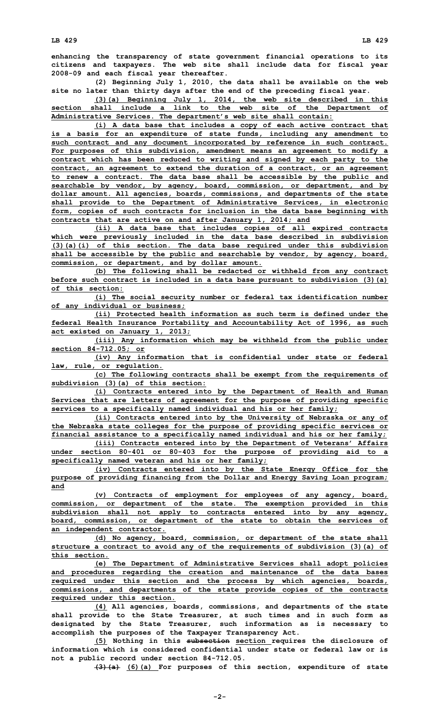**(2) Beginning July 1, 2010, the data shall be available on the web site no later than thirty days after the end of the preceding fiscal year.**

**(3)(a) Beginning July 1, 2014, the web site described in this section shall include <sup>a</sup> link to the web site of the Department of Administrative Services. The department's web site shall contain:**

**(i) <sup>A</sup> data base that includes <sup>a</sup> copy of each active contract that is <sup>a</sup> basis for an expenditure of state funds, including any amendment to such contract and any document incorporated by reference in such contract. For purposes of this subdivision, amendment means an agreement to modify <sup>a</sup> contract which has been reduced to writing and signed by each party to the contract, an agreement to extend the duration of <sup>a</sup> contract, or an agreement to renew <sup>a</sup> contract. The data base shall be accessible by the public and searchable by vendor, by agency, board, commission, or department, and by dollar amount. All agencies, boards, commissions, and departments of the state shall provide to the Department of Administrative Services, in electronic form, copies of such contracts for inclusion in the data base beginning with contracts that are active on and after January 1, 2014; and**

**(ii) <sup>A</sup> data base that includes copies of all expired contracts which were previously included in the data base described in subdivision (3)(a)(i) of this section. The data base required under this subdivision shall be accessible by the public and searchable by vendor, by agency, board, commission, or department, and by dollar amount.**

**(b) The following shall be redacted or withheld from any contract before such contract is included in <sup>a</sup> data base pursuant to subdivision (3)(a) of this section:**

**(i) The social security number or federal tax identification number of any individual or business;**

**(ii) Protected health information as such term is defined under the federal Health Insurance Portability and Accountability Act of 1996, as such act existed on January 1, 2013;**

**(iii) Any information which may be withheld from the public under section 84-712.05; or**

**(iv) Any information that is confidential under state or federal law, rule, or regulation.**

**(c) The following contracts shall be exempt from the requirements of subdivision (3)(a) of this section:**

**(i) Contracts entered into by the Department of Health and Human Services that are letters of agreement for the purpose of providing specific services to <sup>a</sup> specifically named individual and his or her family;**

**(ii) Contracts entered into by the University of Nebraska or any of the Nebraska state colleges for the purpose of providing specific services or financial assistance to <sup>a</sup> specifically named individual and his or her family;**

**(iii) Contracts entered into by the Department of Veterans' Affairs under section 80-401 or 80-403 for the purpose of providing aid to <sup>a</sup> specifically named veteran and his or her family;**

**(iv) Contracts entered into by the State Energy Office for the purpose of providing financing from the Dollar and Energy Saving Loan program; and**

**(v) Contracts of employment for employees of any agency, board, commission, or department of the state. The exemption provided in this subdivision shall not apply to contracts entered into by any agency, board, commission, or department of the state to obtain the services of an independent contractor.**

**(d) No agency, board, commission, or department of the state shall structure <sup>a</sup> contract to avoid any of the requirements of subdivision (3)(a) of this section.**

**(e) The Department of Administrative Services shall adopt policies and procedures regarding the creation and maintenance of the data bases required under this section and the process by which agencies, boards, commissions, and departments of the state provide copies of the contracts required under this section.**

**(4) All agencies, boards, commissions, and departments of the state shall provide to the State Treasurer, at such times and in such form as designated by the State Treasurer, such information as is necessary to accomplish the purposes of the Taxpayer Transparency Act.**

**(5) Nothing in this subsection section requires the disclosure of information which is considered confidential under state or federal law or is not <sup>a</sup> public record under section 84-712.05.**

**(3)(a) (6)(a) For purposes of this section, expenditure of state**